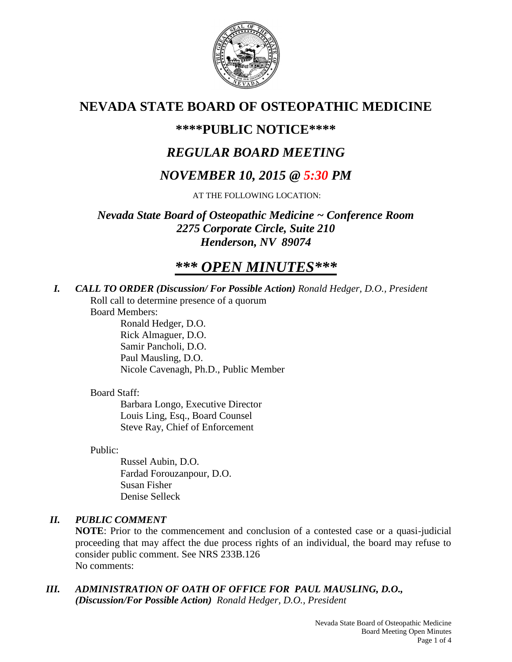

# **NEVADA STATE BOARD OF OSTEOPATHIC MEDICINE**

## **\*\*\*\*PUBLIC NOTICE\*\*\*\***

## *REGULAR BOARD MEETING*

## *NOVEMBER 10, 2015 @ 5:30 PM*

AT THE FOLLOWING LOCATION:

*Nevada State Board of Osteopathic Medicine ~ Conference Room 2275 Corporate Circle, Suite 210 Henderson, NV 89074*

# *\*\*\* OPEN MINUTES\*\*\**

*I. CALL TO ORDER (Discussion/ For Possible Action) Ronald Hedger, D.O., President* Roll call to determine presence of a quorum

Board Members:

Ronald Hedger, D.O. Rick Almaguer, D.O. Samir Pancholi, D.O. Paul Mausling, D.O. Nicole Cavenagh, Ph.D., Public Member

## Board Staff:

Barbara Longo, Executive Director Louis Ling, Esq., Board Counsel Steve Ray, Chief of Enforcement

## Public:

Russel Aubin, D.O. Fardad Forouzanpour, D.O. Susan Fisher Denise Selleck

## *II. PUBLIC COMMENT*

**NOTE**: Prior to the commencement and conclusion of a contested case or a quasi-judicial proceeding that may affect the due process rights of an individual, the board may refuse to consider public comment. See NRS 233B.126 No comments:

*III. ADMINISTRATION OF OATH OF OFFICE FOR PAUL MAUSLING, D.O., (Discussion/For Possible Action) Ronald Hedger, D.O., President*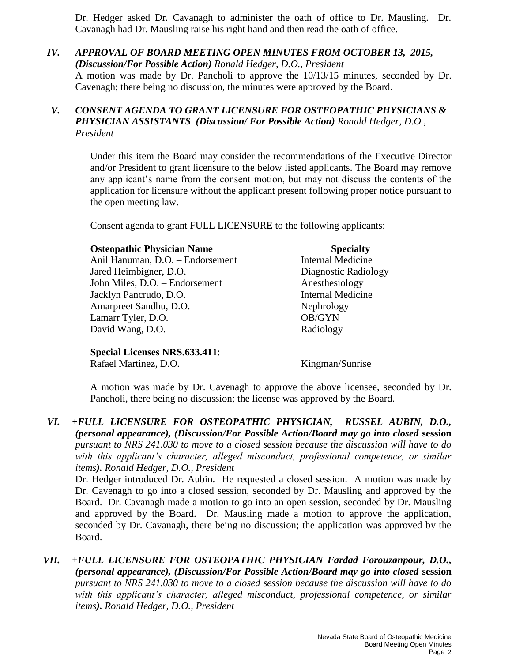Dr. Hedger asked Dr. Cavanagh to administer the oath of office to Dr. Mausling. Dr. Cavanagh had Dr. Mausling raise his right hand and then read the oath of office.

#### *IV. APPROVAL OF BOARD MEETING OPEN MINUTES FROM OCTOBER 13, 2015, (Discussion/For Possible Action) Ronald Hedger, D.O., President* A motion was made by Dr. Pancholi to approve the 10/13/15 minutes, seconded by Dr. Cavenagh; there being no discussion, the minutes were approved by the Board.

## *V. CONSENT AGENDA TO GRANT LICENSURE FOR OSTEOPATHIC PHYSICIANS & PHYSICIAN ASSISTANTS (Discussion/ For Possible Action) Ronald Hedger, D.O., President*

Under this item the Board may consider the recommendations of the Executive Director and/or President to grant licensure to the below listed applicants. The Board may remove any applicant's name from the consent motion, but may not discuss the contents of the application for licensure without the applicant present following proper notice pursuant to the open meeting law.

Consent agenda to grant FULL LICENSURE to the following applicants:

| <b>Osteopathic Physician Name</b> | <b>Specialty</b>         |
|-----------------------------------|--------------------------|
| Anil Hanuman, D.O. - Endorsement  | <b>Internal Medicine</b> |
| Jared Heimbigner, D.O.            | Diagnostic Radiology     |
| John Miles, D.O. - Endorsement    | Anesthesiology           |
| Jacklyn Pancrudo, D.O.            | <b>Internal Medicine</b> |
| Amarpreet Sandhu, D.O.            | Nephrology               |
| Lamarr Tyler, D.O.                | OB/GYN                   |
| David Wang, D.O.                  | Radiology                |

**Special Licenses NRS.633.411**:

Rafael Martinez, D.O. Kingman/Sunrise

A motion was made by Dr. Cavenagh to approve the above licensee, seconded by Dr. Pancholi, there being no discussion; the license was approved by the Board.

*VI. +FULL LICENSURE FOR OSTEOPATHIC PHYSICIAN, RUSSEL AUBIN, D.O., (personal appearance), (Discussion/For Possible Action/Board may go into closed* **session** *pursuant to NRS 241.030 to move to a closed session because the discussion will have to do with this applicant's character, alleged misconduct, professional competence, or similar items). Ronald Hedger, D.O., President*

Dr. Hedger introduced Dr. Aubin. He requested a closed session. A motion was made by Dr. Cavenagh to go into a closed session, seconded by Dr. Mausling and approved by the Board. Dr. Cavanagh made a motion to go into an open session, seconded by Dr. Mausling and approved by the Board. Dr. Mausling made a motion to approve the application, seconded by Dr. Cavanagh, there being no discussion; the application was approved by the Board.

*VII. +FULL LICENSURE FOR OSTEOPATHIC PHYSICIAN Fardad Forouzanpour, D.O., (personal appearance), (Discussion/For Possible Action/Board may go into closed* **session** *pursuant to NRS 241.030 to move to a closed session because the discussion will have to do with this applicant's character, alleged misconduct, professional competence, or similar items). Ronald Hedger, D.O., President*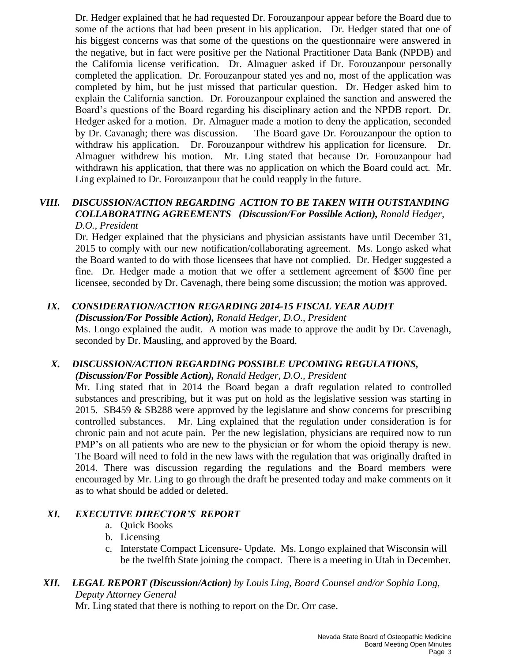Dr. Hedger explained that he had requested Dr. Forouzanpour appear before the Board due to some of the actions that had been present in his application. Dr. Hedger stated that one of his biggest concerns was that some of the questions on the questionnaire were answered in the negative, but in fact were positive per the National Practitioner Data Bank (NPDB) and the California license verification. Dr. Almaguer asked if Dr. Forouzanpour personally completed the application. Dr. Forouzanpour stated yes and no, most of the application was completed by him, but he just missed that particular question. Dr. Hedger asked him to explain the California sanction. Dr. Forouzanpour explained the sanction and answered the Board's questions of the Board regarding his disciplinary action and the NPDB report. Dr. Hedger asked for a motion. Dr. Almaguer made a motion to deny the application, seconded by Dr. Cavanagh; there was discussion. The Board gave Dr. Forouzanpour the option to withdraw his application. Dr. Forouzanpour withdrew his application for licensure. Dr. Almaguer withdrew his motion. Mr. Ling stated that because Dr. Forouzanpour had withdrawn his application, that there was no application on which the Board could act. Mr. Ling explained to Dr. Forouzanpour that he could reapply in the future.

#### *VIII. DISCUSSION/ACTION REGARDING ACTION TO BE TAKEN WITH OUTSTANDING COLLABORATING AGREEMENTS (Discussion/For Possible Action), Ronald Hedger, D.O., President*

Dr. Hedger explained that the physicians and physician assistants have until December 31, 2015 to comply with our new notification/collaborating agreement. Ms. Longo asked what the Board wanted to do with those licensees that have not complied. Dr. Hedger suggested a fine. Dr. Hedger made a motion that we offer a settlement agreement of \$500 fine per licensee, seconded by Dr. Cavenagh, there being some discussion; the motion was approved.

## *IX. CONSIDERATION/ACTION REGARDING 2014-15 FISCAL YEAR AUDIT*

*(Discussion/For Possible Action), Ronald Hedger, D.O., President*

Ms. Longo explained the audit. A motion was made to approve the audit by Dr. Cavenagh, seconded by Dr. Mausling, and approved by the Board.

#### *X. DISCUSSION/ACTION REGARDING POSSIBLE UPCOMING REGULATIONS, (Discussion/For Possible Action), Ronald Hedger, D.O., President*

Mr. Ling stated that in 2014 the Board began a draft regulation related to controlled substances and prescribing, but it was put on hold as the legislative session was starting in 2015. SB459 & SB288 were approved by the legislature and show concerns for prescribing controlled substances. Mr. Ling explained that the regulation under consideration is for chronic pain and not acute pain. Per the new legislation, physicians are required now to run PMP's on all patients who are new to the physician or for whom the opioid therapy is new. The Board will need to fold in the new laws with the regulation that was originally drafted in 2014. There was discussion regarding the regulations and the Board members were encouraged by Mr. Ling to go through the draft he presented today and make comments on it as to what should be added or deleted.

## *XI. EXECUTIVE DIRECTOR'S REPORT*

- a. Quick Books
- b. Licensing
- c. Interstate Compact Licensure- Update. Ms. Longo explained that Wisconsin will be the twelfth State joining the compact. There is a meeting in Utah in December.

## *XII. LEGAL REPORT (Discussion/Action) by Louis Ling, Board Counsel and/or Sophia Long, Deputy Attorney General*

Mr. Ling stated that there is nothing to report on the Dr. Orr case.